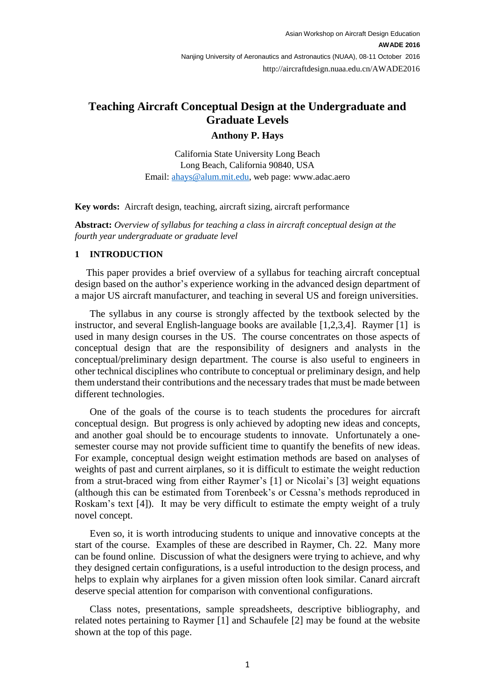# **Teaching Aircraft Conceptual Design at the Undergraduate and Graduate Levels**

## **Anthony P. Hays**

California State University Long Beach Long Beach, California 90840, USA Email: [ahays@alum.mit.edu,](mailto:ahays@alum.mit.edu) web page: www.adac.aero

## **Key words:** Aircraft design, teaching, aircraft sizing, aircraft performance

**Abstract:** *Overview of syllabus for teaching a class in aircraft conceptual design at the fourth year undergraduate or graduate level* 

#### **1 INTRODUCTION**

This paper provides a brief overview of a syllabus for teaching aircraft conceptual design based on the author's experience working in the advanced design department of a major US aircraft manufacturer, and teaching in several US and foreign universities.

The syllabus in any course is strongly affected by the textbook selected by the instructor, and several English-language books are available [1,2,3,4]. Raymer [1] is used in many design courses in the US. The course concentrates on those aspects of conceptual design that are the responsibility of designers and analysts in the conceptual/preliminary design department. The course is also useful to engineers in other technical disciplines who contribute to conceptual or preliminary design, and help them understand their contributions and the necessary trades that must be made between different technologies.

One of the goals of the course is to teach students the procedures for aircraft conceptual design. But progress is only achieved by adopting new ideas and concepts, and another goal should be to encourage students to innovate. Unfortunately a onesemester course may not provide sufficient time to quantify the benefits of new ideas. For example, conceptual design weight estimation methods are based on analyses of weights of past and current airplanes, so it is difficult to estimate the weight reduction from a strut-braced wing from either Raymer's [1] or Nicolai's [3] weight equations (although this can be estimated from Torenbeek's or Cessna's methods reproduced in Roskam's text [4]). It may be very difficult to estimate the empty weight of a truly novel concept.

Even so, it is worth introducing students to unique and innovative concepts at the start of the course. Examples of these are described in Raymer, Ch. 22. Many more can be found online. Discussion of what the designers were trying to achieve, and why they designed certain configurations, is a useful introduction to the design process, and helps to explain why airplanes for a given mission often look similar. Canard aircraft deserve special attention for comparison with conventional configurations.

Class notes, presentations, sample spreadsheets, descriptive bibliography, and related notes pertaining to Raymer [1] and Schaufele [2] may be found at the website shown at the top of this page.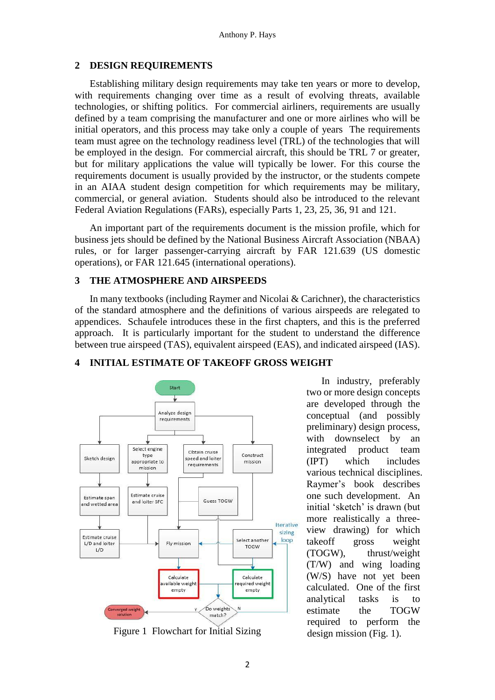## **2 DESIGN REQUIREMENTS**

Establishing military design requirements may take ten years or more to develop, with requirements changing over time as a result of evolving threats, available technologies, or shifting politics. For commercial airliners, requirements are usually defined by a team comprising the manufacturer and one or more airlines who will be initial operators, and this process may take only a couple of years The requirements team must agree on the technology readiness level (TRL) of the technologies that will be employed in the design. For commercial aircraft, this should be TRL 7 or greater, but for military applications the value will typically be lower. For this course the requirements document is usually provided by the instructor, or the students compete in an AIAA student design competition for which requirements may be military, commercial, or general aviation. Students should also be introduced to the relevant Federal Aviation Regulations (FARs), especially Parts 1, 23, 25, 36, 91 and 121.

An important part of the requirements document is the mission profile, which for business jets should be defined by the National Business Aircraft Association (NBAA) rules, or for larger passenger-carrying aircraft by FAR 121.639 (US domestic operations), or FAR 121.645 (international operations).

## **3 THE ATMOSPHERE AND AIRSPEEDS**

In many textbooks (including Raymer and Nicolai & Carichner), the characteristics of the standard atmosphere and the definitions of various airspeeds are relegated to appendices. Schaufele introduces these in the first chapters, and this is the preferred approach. It is particularly important for the student to understand the difference between true airspeed (TAS), equivalent airspeed (EAS), and indicated airspeed (IAS).



# **4 INITIAL ESTIMATE OF TAKEOFF GROSS WEIGHT**

Figure 1 Flowchart for Initial Sizing design mission (Fig. 1).

In industry, preferably two or more design concepts are developed through the conceptual (and possibly preliminary) design process, with downselect by an integrated product team (IPT) which includes various technical disciplines. Raymer's book describes one such development. An initial 'sketch' is drawn (but more realistically a threeview drawing) for which takeoff gross weight (TOGW), thrust/weight (T/W) and wing loading (W/S) have not yet been calculated. One of the first analytical tasks is to estimate the TOGW required to perform the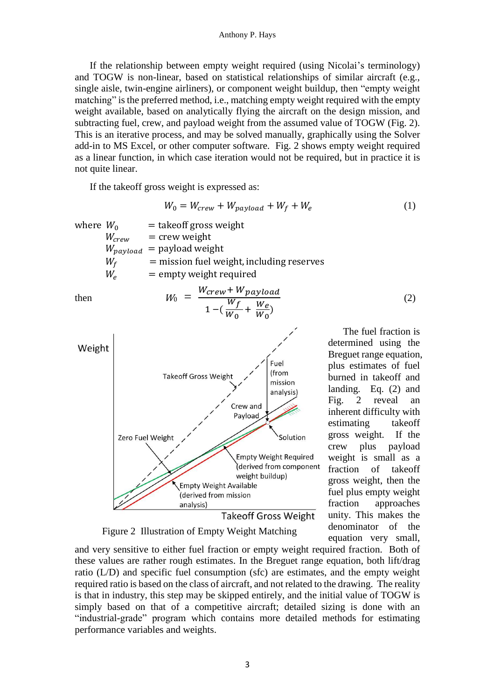If the relationship between empty weight required (using Nicolai's terminology) and TOGW is non-linear, based on statistical relationships of similar aircraft (e.g., single aisle, twin-engine airliners), or component weight buildup, then "empty weight matching" is the preferred method, i.e., matching empty weight required with the empty weight available, based on analytically flying the aircraft on the design mission, and subtracting fuel, crew, and payload weight from the assumed value of TOGW (Fig. 2). This is an iterative process, and may be solved manually, graphically using the Solver add-in to MS Excel, or other computer software. Fig. 2 shows empty weight required as a linear function, in which case iteration would not be required, but in practice it is not quite linear.

If the takeoff gross weight is expressed as:

$$
W_0 = W_{crew} + W_{payload} + W_f + W_e \tag{1}
$$

where  $W_0$  = takeoff gross weight<br> $W_{crew}$  = crew weight  $=$  crew weight  $W_{payload}$  = payload weight  $W_f$  = mission fuel weight, including reserves  $W_e$  = empty weight required

 $1 - (\frac{W_f}{W_f})$ 

then  $W_0 = \frac{W_{crew} + W_{payload}}{W_{f} - W_{g}}$ 



determined using the Breguet range equation, plus estimates of fuel burned in takeoff and landing. Eq. (2) and Fig. 2 reveal an inherent difficulty with estimating takeoff gross weight. If the crew plus payload weight is small as a fraction of takeoff gross weight, then the fuel plus empty weight fraction approaches unity. This makes the denominator of the equation very small,

The fuel fraction is

(2)

Figure 2 Illustration of Empty Weight Matching

and very sensitive to either fuel fraction or empty weight required fraction. Both of these values are rather rough estimates. In the Breguet range equation, both lift/drag ratio (L/D) and specific fuel consumption (sfc) are estimates, and the empty weight required ratio is based on the class of aircraft, and not related to the drawing. The reality is that in industry, this step may be skipped entirely, and the initial value of TOGW is simply based on that of a competitive aircraft; detailed sizing is done with an "industrial-grade" program which contains more detailed methods for estimating performance variables and weights.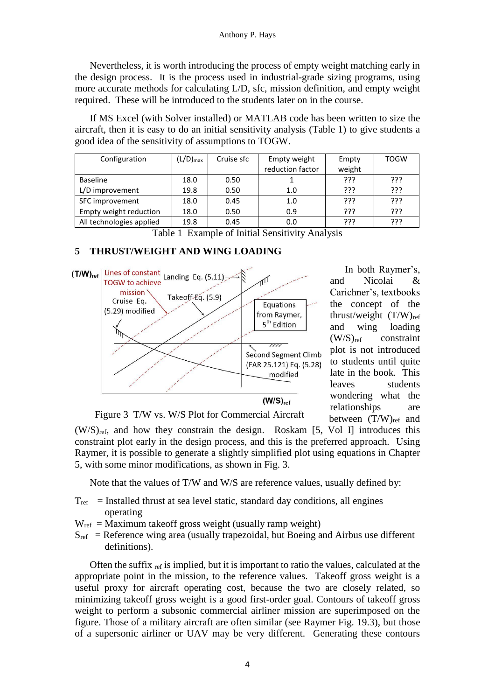Nevertheless, it is worth introducing the process of empty weight matching early in the design process. It is the process used in industrial-grade sizing programs, using more accurate methods for calculating L/D, sfc, mission definition, and empty weight required. These will be introduced to the students later on in the course.

If MS Excel (with Solver installed) or MATLAB code has been written to size the aircraft, then it is easy to do an initial sensitivity analysis (Table 1) to give students a good idea of the sensitivity of assumptions to TOGW.

| Configuration            | $(L/D)_{max}$ | Cruise sfc | Empty weight     | Empty    | <b>TOGW</b> |
|--------------------------|---------------|------------|------------------|----------|-------------|
|                          |               |            | reduction factor | weight   |             |
| <b>Baseline</b>          | 18.0          | 0.50       |                  | ???      | ???         |
| L/D improvement          | 19.8          | 0.50       | 1.0              | ???      | ַרְרְךָ     |
| SFC improvement          | 18.0          | 0.45       | 1.0              | ???      | ???         |
| Empty weight reduction   | 18.0          | 0.50       | 0.9              | ַרְרְי   | ???         |
| All technologies applied | 19.8          | 0.45       | 0.0              | ַיִּרְיִ | ???         |

Table 1 Example of Initial Sensitivity Analysis

## **5 THRUST/WEIGHT AND WING LOADING**



In both Raymer's, and Nicolai & Carichner's, textbooks the concept of the thrust/weight (T/W)ref and wing loading  $(W/S)_{ref}$  constraint plot is not introduced to students until quite late in the book. This leaves students wondering what the relationships are between (T/W)ref and

Figure 3 T/W vs. W/S Plot for Commercial Aircraft

(W/S)ref, and how they constrain the design. Roskam [5, Vol I] introduces this constraint plot early in the design process, and this is the preferred approach. Using Raymer, it is possible to generate a slightly simplified plot using equations in Chapter 5, with some minor modifications, as shown in Fig. 3.

Note that the values of T/W and W/S are reference values, usually defined by:

- $T_{ref}$  = Installed thrust at sea level static, standard day conditions, all engines operating
- $W_{\text{ref}} =$  Maximum takeoff gross weight (usually ramp weight)
- $S_{ref}$  = Reference wing area (usually trapezoidal, but Boeing and Airbus use different definitions).

Often the suffix  $_{ref}$  is implied, but it is important to ratio the values, calculated at the appropriate point in the mission, to the reference values. Takeoff gross weight is a useful proxy for aircraft operating cost, because the two are closely related, so minimizing takeoff gross weight is a good first-order goal. Contours of takeoff gross weight to perform a subsonic commercial airliner mission are superimposed on the figure. Those of a military aircraft are often similar (see Raymer Fig. 19.3), but those of a supersonic airliner or UAV may be very different. Generating these contours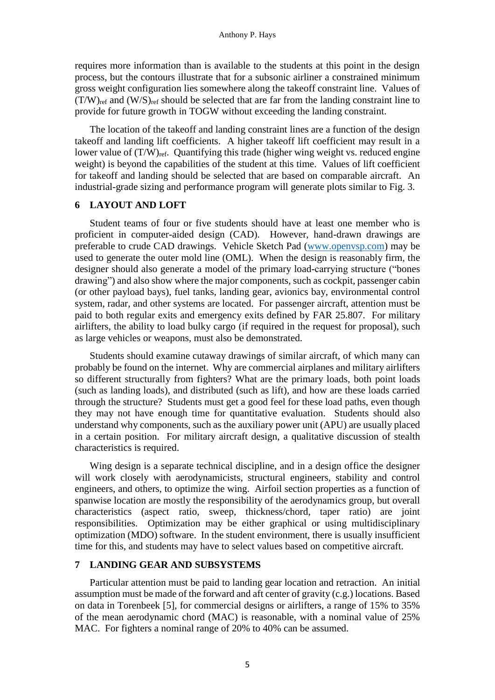requires more information than is available to the students at this point in the design process, but the contours illustrate that for a subsonic airliner a constrained minimum gross weight configuration lies somewhere along the takeoff constraint line. Values of  $(T/W)_{ref}$  and  $(W/S)_{ref}$  should be selected that are far from the landing constraint line to provide for future growth in TOGW without exceeding the landing constraint.

The location of the takeoff and landing constraint lines are a function of the design takeoff and landing lift coefficients. A higher takeoff lift coefficient may result in a lower value of  $(T/W)_{ref}$ . Quantifying this trade (higher wing weight vs. reduced engine weight) is beyond the capabilities of the student at this time. Values of lift coefficient for takeoff and landing should be selected that are based on comparable aircraft. An industrial-grade sizing and performance program will generate plots similar to Fig. 3.

#### **6 LAYOUT AND LOFT**

Student teams of four or five students should have at least one member who is proficient in computer-aided design (CAD). However, hand-drawn drawings are preferable to crude CAD drawings. Vehicle Sketch Pad [\(www.openvsp.com\)](http://www.openvsp.com/) may be used to generate the outer mold line (OML). When the design is reasonably firm, the designer should also generate a model of the primary load-carrying structure ("bones drawing") and also show where the major components, such as cockpit, passenger cabin (or other payload bays), fuel tanks, landing gear, avionics bay, environmental control system, radar, and other systems are located. For passenger aircraft, attention must be paid to both regular exits and emergency exits defined by FAR 25.807. For military airlifters, the ability to load bulky cargo (if required in the request for proposal), such as large vehicles or weapons, must also be demonstrated.

Students should examine cutaway drawings of similar aircraft, of which many can probably be found on the internet. Why are commercial airplanes and military airlifters so different structurally from fighters? What are the primary loads, both point loads (such as landing loads), and distributed (such as lift), and how are these loads carried through the structure? Students must get a good feel for these load paths, even though they may not have enough time for quantitative evaluation. Students should also understand why components, such as the auxiliary power unit (APU) are usually placed in a certain position. For military aircraft design, a qualitative discussion of stealth characteristics is required.

Wing design is a separate technical discipline, and in a design office the designer will work closely with aerodynamicists, structural engineers, stability and control engineers, and others, to optimize the wing. Airfoil section properties as a function of spanwise location are mostly the responsibility of the aerodynamics group, but overall characteristics (aspect ratio, sweep, thickness/chord, taper ratio) are joint responsibilities. Optimization may be either graphical or using multidisciplinary optimization (MDO) software. In the student environment, there is usually insufficient time for this, and students may have to select values based on competitive aircraft.

#### **7 LANDING GEAR AND SUBSYSTEMS**

Particular attention must be paid to landing gear location and retraction. An initial assumption must be made of the forward and aft center of gravity (c.g.) locations. Based on data in Torenbeek [5], for commercial designs or airlifters, a range of 15% to 35% of the mean aerodynamic chord (MAC) is reasonable, with a nominal value of 25% MAC. For fighters a nominal range of 20% to 40% can be assumed.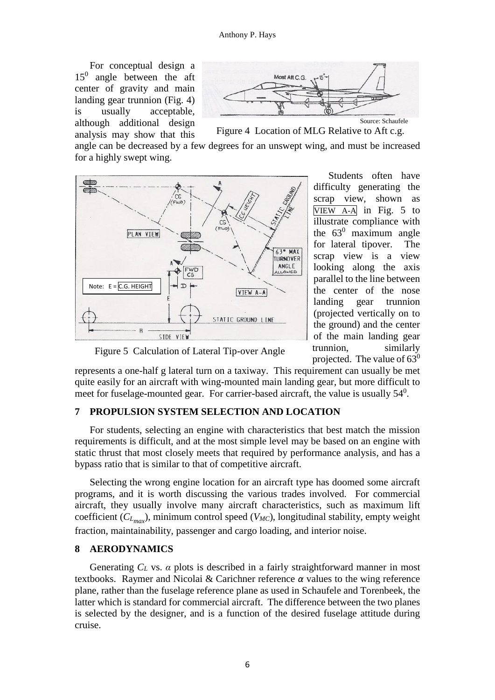For conceptual design a 15<sup>0</sup> angle between the aft center of gravity and main landing gear trunnion (Fig. 4) is usually acceptable, although additional design analysis may show that this



Figure 4 Location of MLG Relative to Aft c.g.

angle can be decreased by a few degrees for an unswept wing, and must be increased for a highly swept wing.



Students often have difficulty generating the scrap view, shown as VIEW A-A in Fig. 5 to illustrate compliance with the  $63^0$  maximum angle for lateral tipover. The scrap view is a view looking along the axis parallel to the line between the center of the nose landing gear trunnion (projected vertically on to the ground) and the center of the main landing gear trunnion, similarly projected. The value of  $63^0$ 

Figure 5 Calculation of Lateral Tip-over Angle

represents a one-half g lateral turn on a taxiway. This requirement can usually be met quite easily for an aircraft with wing-mounted main landing gear, but more difficult to meet for fuselage-mounted gear. For carrier-based aircraft, the value is usually  $54^0$ .

## **7 PROPULSION SYSTEM SELECTION AND LOCATION**

For students, selecting an engine with characteristics that best match the mission requirements is difficult, and at the most simple level may be based on an engine with static thrust that most closely meets that required by performance analysis, and has a bypass ratio that is similar to that of competitive aircraft.

Selecting the wrong engine location for an aircraft type has doomed some aircraft programs, and it is worth discussing the various trades involved. For commercial aircraft, they usually involve many aircraft characteristics, such as maximum lift coefficient (*CLmax* ), minimum control speed (*VMC*), longitudinal stability, empty weight fraction, maintainability, passenger and cargo loading, and interior noise.

#### **8 AERODYNAMICS**

Generating *C<sup>L</sup>* vs. *α* plots is described in a fairly straightforward manner in most textbooks. Raymer and Nicolai & Carichner reference *α* values to the wing reference plane, rather than the fuselage reference plane as used in Schaufele and Torenbeek, the latter which is standard for commercial aircraft. The difference between the two planes is selected by the designer, and is a function of the desired fuselage attitude during cruise.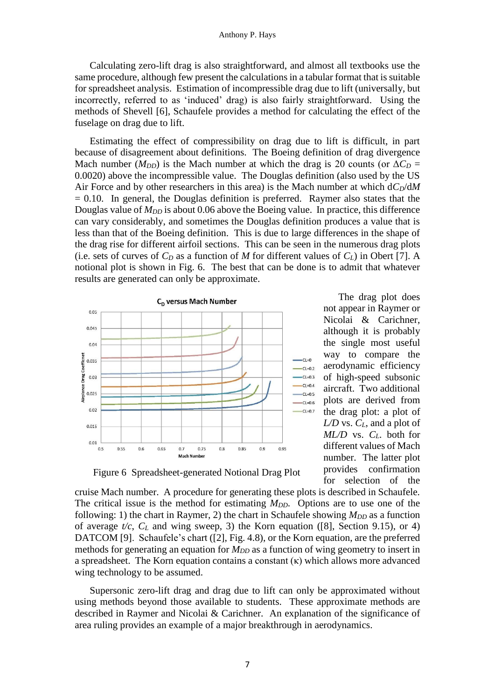Calculating zero-lift drag is also straightforward, and almost all textbooks use the same procedure, although few present the calculations in a tabular format that is suitable for spreadsheet analysis. Estimation of incompressible drag due to lift (universally, but incorrectly, referred to as 'induced' drag) is also fairly straightforward. Using the methods of Shevell [6], Schaufele provides a method for calculating the effect of the fuselage on drag due to lift.

Estimating the effect of compressibility on drag due to lift is difficult, in part because of disagreement about definitions. The Boeing definition of drag divergence Mach number ( $M_{DD}$ ) is the Mach number at which the drag is 20 counts (or  $\Delta C_D =$ 0.0020) above the incompressible value. The Douglas definition (also used by the US Air Force and by other researchers in this area) is the Mach number at which d*CD*/d*M*  $= 0.10$ . In general, the Douglas definition is preferred. Raymer also states that the Douglas value of  $M_{DD}$  is about 0.06 above the Boeing value. In practice, this difference can vary considerably, and sometimes the Douglas definition produces a value that is less than that of the Boeing definition. This is due to large differences in the shape of the drag rise for different airfoil sections. This can be seen in the numerous drag plots (i.e. sets of curves of  $C_D$  as a function of *M* for different values of  $C_L$ ) in Obert [7]. A notional plot is shown in Fig. 6. The best that can be done is to admit that whatever results are generated can only be approximate.



The drag plot does not appear in Raymer or Nicolai & Carichner, although it is probably the single most useful way to compare the aerodynamic efficiency of high-speed subsonic aircraft. Two additional plots are derived from the drag plot: a plot of *L/D* vs. *CL*, and a plot of *ML/D* vs. *CL*. both for different values of Mach number. The latter plot provides confirmation for selection of the

Figure 6 Spreadsheet-generated Notional Drag Plot

cruise Mach number. A procedure for generating these plots is described in Schaufele. The critical issue is the method for estimating *M<sub>DD</sub>*. Options are to use one of the following: 1) the chart in Raymer, 2) the chart in Schaufele showing  $M_{DD}$  as a function of average *t/c*, *C<sup>L</sup>* and wing sweep, 3) the Korn equation ([8], Section 9.15), or 4) DATCOM [9]. Schaufele's chart ([2], Fig. 4.8), or the Korn equation, are the preferred methods for generating an equation for  $M_{DD}$  as a function of wing geometry to insert in a spreadsheet. The Korn equation contains a constant  $(\kappa)$  which allows more advanced wing technology to be assumed.

Supersonic zero-lift drag and drag due to lift can only be approximated without using methods beyond those available to students. These approximate methods are described in Raymer and Nicolai & Carichner. An explanation of the significance of area ruling provides an example of a major breakthrough in aerodynamics.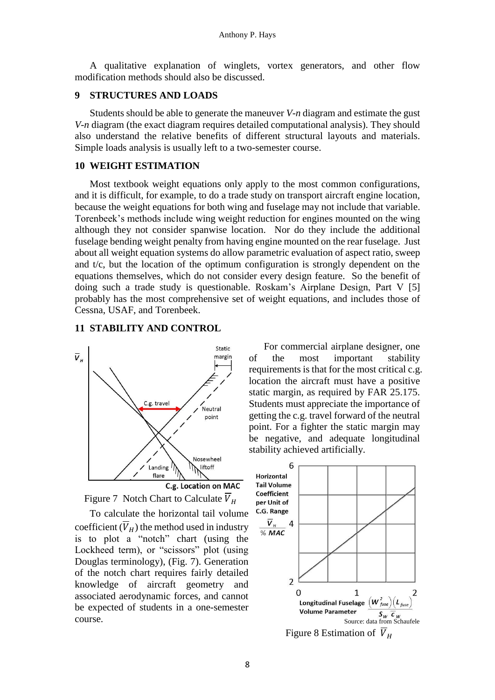A qualitative explanation of winglets, vortex generators, and other flow modification methods should also be discussed.

## **9 STRUCTURES AND LOADS**

Students should be able to generate the maneuver *V-n* diagram and estimate the gust *V-n* diagram (the exact diagram requires detailed computational analysis). They should also understand the relative benefits of different structural layouts and materials. Simple loads analysis is usually left to a two-semester course.

#### **10 WEIGHT ESTIMATION**

Most textbook weight equations only apply to the most common configurations, and it is difficult, for example, to do a trade study on transport aircraft engine location, because the weight equations for both wing and fuselage may not include that variable. Torenbeek's methods include wing weight reduction for engines mounted on the wing although they not consider spanwise location. Nor do they include the additional fuselage bending weight penalty from having engine mounted on the rear fuselage. Just about all weight equation systems do allow parametric evaluation of aspect ratio, sweep and t/c, but the location of the optimum configuration is strongly dependent on the equations themselves, which do not consider every design feature. So the benefit of doing such a trade study is questionable. Roskam's Airplane Design, Part V [5] probably has the most comprehensive set of weight equations, and includes those of Cessna, USAF, and Torenbeek.

#### **11 STABILITY AND CONTROL**





coefficient  $(\overline{V}_H)$  the method used in industry is to plot a "notch" chart (using the Lockheed term), or "scissors" plot (using Douglas terminology), (Fig. 7). Generation of the notch chart requires fairly detailed knowledge of aircraft geometry and associated aerodynamic forces, and cannot be expected of students in a one-semester

For commercial airplane designer, one of the most important stability requirements is that for the most critical c.g. location the aircraft must have a positive static margin, as required by FAR 25.175. Students must appreciate the importance of getting the c.g. travel forward of the neutral point. For a fighter the static margin may be negative, and adequate longitudinal stability achieved artificially.

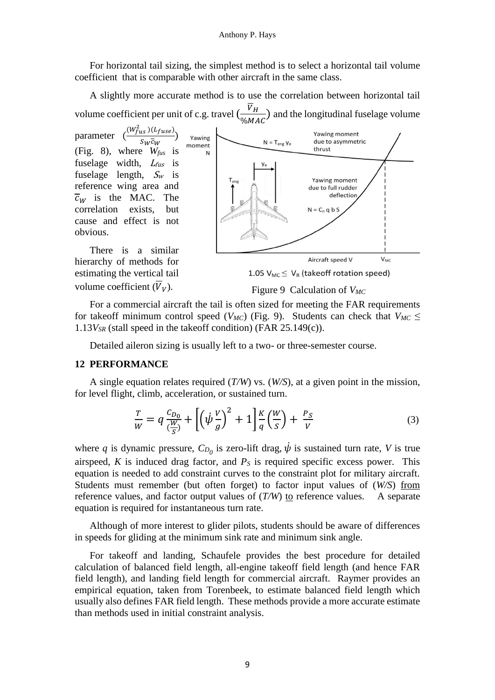For horizontal tail sizing, the simplest method is to select a horizontal tail volume coefficient that is comparable with other aircraft in the same class.

A slightly more accurate method is to use the correlation between horizontal tail volume coefficient per unit of c.g. travel  $\left(\frac{V_H}{N_M}\right)$  $\frac{v_H}{\%MAC}$ ) and the longitudinal fuselage volume

parameter  $(W_{fus}^2)(L_{fuse})$  $\frac{(\overline{u}\,\overline{s})(\overline{u})}{\overline{s}_W\overline{c}_W}$ (Fig. 8), where *Wfus* is fuselage width,  $L_{fus}$  is fuselage length,  $S_w$  is reference wing area and  $\overline{c}_{W}$  is the MAC. The correlation exists, but cause and effect is not obvious.



There is a similar hierarchy of methods for estimating the vertical tail volume coefficient  $(\overline{V}_V)$ .

1.05  $V_{MC} \leq V_R$  (takeoff rotation speed)

## Figure 9 Calculation of *VMC*

For a commercial aircraft the tail is often sized for meeting the FAR requirements for takeoff minimum control speed ( $V_{MC}$ ) (Fig. 9). Students can check that  $V_{MC} \leq$ 1.13*VSR* (stall speed in the takeoff condition) (FAR 25.149(c)).

Detailed aileron sizing is usually left to a two- or three-semester course.

#### **12 PERFORMANCE**

A single equation relates required (*T/W*) vs. (*W/S*), at a given point in the mission, for level flight, climb, acceleration, or sustained turn.

$$
\frac{T}{W} = q \frac{C_{D_0}}{\left(\frac{W}{S}\right)} + \left[ \left(\dot{\psi}\frac{V}{g}\right)^2 + 1 \right] \frac{K}{q} \left(\frac{W}{S}\right) + \frac{P_S}{V} \tag{3}
$$

where *q* is dynamic pressure,  $C_{D_0}$  is zero-lift drag,  $\dot{\psi}$  is sustained turn rate, *V* is true airspeed,  $K$  is induced drag factor, and  $P<sub>S</sub>$  is required specific excess power. This equation is needed to add constraint curves to the constraint plot for military aircraft. Students must remember (but often forget) to factor input values of (*W/S*) from reference values, and factor output values of (*T/W*) to reference values. A separate equation is required for instantaneous turn rate.

Although of more interest to glider pilots, students should be aware of differences in speeds for gliding at the minimum sink rate and minimum sink angle.

For takeoff and landing, Schaufele provides the best procedure for detailed calculation of balanced field length, all-engine takeoff field length (and hence FAR field length), and landing field length for commercial aircraft. Raymer provides an empirical equation, taken from Torenbeek, to estimate balanced field length which usually also defines FAR field length. These methods provide a more accurate estimate than methods used in initial constraint analysis.